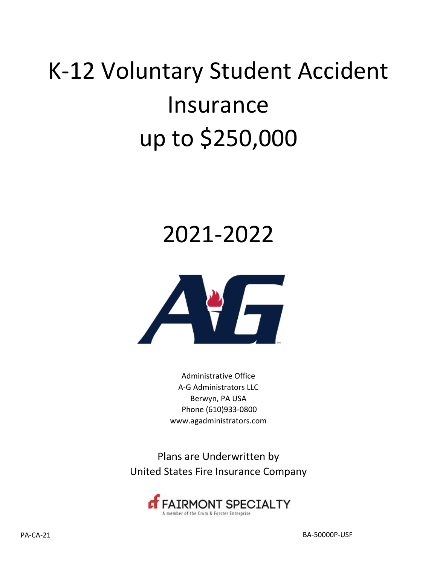# K‐12 Voluntary Student Accident Insurance up to \$250,000

## 2021-2022



Administrative Office A‐G Administrators LLC Berwyn, PA USA Phone (610)933‐0800 www.agadministrators.com

Plans are Underwritten by United States Fire Insurance Company

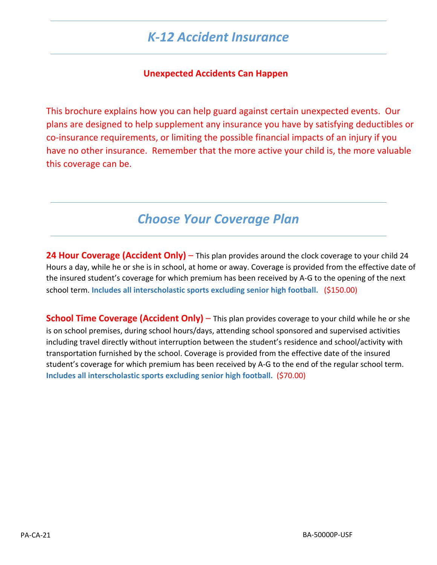## *K‐12 Accident Insurance*

#### **Unexpected Accidents Can Happen**

This brochure explains how you can help guard against certain unexpected events. Our plans are designed to help supplement any insurance you have by satisfying deductibles or co‐insurance requirements, or limiting the possible financial impacts of an injury if you have no other insurance. Remember that the more active your child is, the more valuable this coverage can be.

## *Choose Your Coverage Plan*

**24 Hour Coverage (Accident Only)** – This plan provides around the clock coverage to your child 24 Hours a day, while he or she is in school, at home or away. Coverage is provided from the effective date of the insured student's coverage for which premium has been received by A‐G to the opening of the next school term. **Includes all interscholastic sports excluding senior high football.** (\$150.00)

**School Time Coverage (Accident Only)** – This plan provides coverage to your child while he or she is on school premises, during school hours/days, attending school sponsored and supervised activities including travel directly without interruption between the student's residence and school/activity with transportation furnished by the school. Coverage is provided from the effective date of the insured student's coverage for which premium has been received by A‐G to the end of the regular school term. **Includes all interscholastic sports excluding senior high football.** (\$70.00)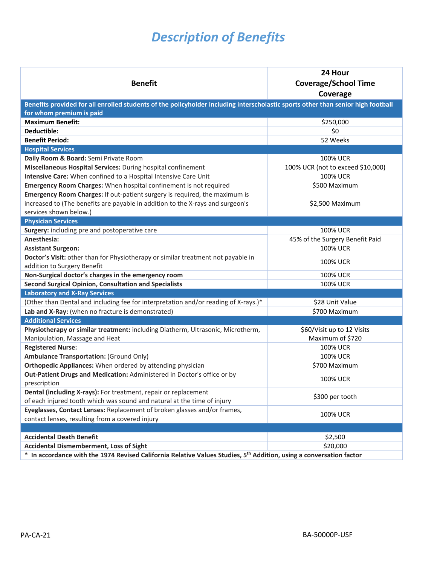## *Description of Benefits*

| <b>Benefit</b>                                                                                                                                               | 24 Hour<br><b>Coverage/School Time</b><br>Coverage |
|--------------------------------------------------------------------------------------------------------------------------------------------------------------|----------------------------------------------------|
| Benefits provided for all enrolled students of the policyholder including interscholastic sports other than senior high football<br>for whom premium is paid |                                                    |
| <b>Maximum Benefit:</b>                                                                                                                                      | \$250,000                                          |
| Deductible:                                                                                                                                                  | \$0                                                |
| <b>Benefit Period:</b>                                                                                                                                       | 52 Weeks                                           |
| <b>Hospital Services</b>                                                                                                                                     |                                                    |
| Daily Room & Board: Semi Private Room                                                                                                                        | <b>100% UCR</b>                                    |
| Miscellaneous Hospital Services: During hospital confinement                                                                                                 | 100% UCR (not to exceed \$10,000)                  |
| Intensive Care: When confined to a Hospital Intensive Care Unit                                                                                              | <b>100% UCR</b>                                    |
| Emergency Room Charges: When hospital confinement is not required                                                                                            | \$500 Maximum                                      |
| Emergency Room Charges: If out-patient surgery is required, the maximum is                                                                                   |                                                    |
| increased to (The benefits are payable in addition to the X-rays and surgeon's                                                                               | \$2,500 Maximum                                    |
| services shown below.)                                                                                                                                       |                                                    |
| <b>Physician Services</b>                                                                                                                                    |                                                    |
| Surgery: including pre and postoperative care                                                                                                                | 100% UCR                                           |
| Anesthesia:                                                                                                                                                  | 45% of the Surgery Benefit Paid                    |
| <b>Assistant Surgeon:</b>                                                                                                                                    | <b>100% UCR</b>                                    |
| Doctor's Visit: other than for Physiotherapy or similar treatment not payable in<br>addition to Surgery Benefit                                              | <b>100% UCR</b>                                    |
| Non-Surgical doctor's charges in the emergency room                                                                                                          | <b>100% UCR</b>                                    |
| <b>Second Surgical Opinion, Consultation and Specialists</b>                                                                                                 | <b>100% UCR</b>                                    |
| <b>Laboratory and X-Ray Services</b>                                                                                                                         |                                                    |
| (Other than Dental and including fee for interpretation and/or reading of X-rays.)*                                                                          | \$28 Unit Value                                    |
| Lab and X-Ray: (when no fracture is demonstrated)                                                                                                            | \$700 Maximum                                      |
| <b>Additional Services</b>                                                                                                                                   |                                                    |
| Physiotherapy or similar treatment: including Diatherm, Ultrasonic, Microtherm,                                                                              | \$60/Visit up to 12 Visits                         |
| Manipulation, Massage and Heat                                                                                                                               | Maximum of \$720                                   |
| <b>Registered Nurse:</b>                                                                                                                                     | <b>100% UCR</b>                                    |
| <b>Ambulance Transportation: (Ground Only)</b>                                                                                                               | <b>100% UCR</b>                                    |
| Orthopedic Appliances: When ordered by attending physician                                                                                                   | \$700 Maximum                                      |
| Out-Patient Drugs and Medication: Administered in Doctor's office or by<br>prescription                                                                      | <b>100% UCR</b>                                    |
| Dental (including X-rays): For treatment, repair or replacement                                                                                              |                                                    |
| of each injured tooth which was sound and natural at the time of injury                                                                                      | \$300 per tooth                                    |
| Eyeglasses, Contact Lenses: Replacement of broken glasses and/or frames,                                                                                     |                                                    |
| contact lenses, resulting from a covered injury                                                                                                              | <b>100% UCR</b>                                    |
|                                                                                                                                                              |                                                    |
| <b>Accidental Death Benefit</b>                                                                                                                              | \$2,500                                            |
| <b>Accidental Dismemberment, Loss of Sight</b>                                                                                                               | \$20,000                                           |
| In accordance with the 1974 Revised California Relative Values Studies, 5 <sup>th</sup> Addition, using a conversation factor<br>$\ast$                      |                                                    |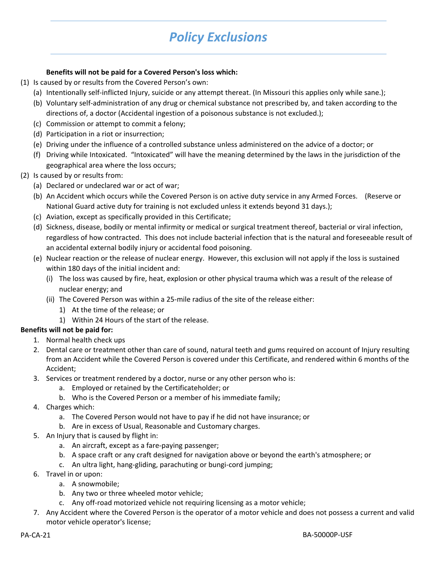## *Policy Exclusions*

#### **Benefits will not be paid for a Covered Person's loss which:**

- (1) Is caused by or results from the Covered Person's own:
	- (a) Intentionally self‐inflicted Injury, suicide or any attempt thereat. (In Missouri this applies only while sane.);
	- (b) Voluntary self‐administration of any drug or chemical substance not prescribed by, and taken according to the directions of, a doctor (Accidental ingestion of a poisonous substance is not excluded.);
	- (c) Commission or attempt to commit a felony;
	- (d) Participation in a riot or insurrection;
	- (e) Driving under the influence of a controlled substance unless administered on the advice of a doctor; or
	- (f) Driving while Intoxicated. "Intoxicated" will have the meaning determined by the laws in the jurisdiction of the geographical area where the loss occurs;
- (2) Is caused by or results from:
	- (a) Declared or undeclared war or act of war;
	- (b) An Accident which occurs while the Covered Person is on active duty service in any Armed Forces. (Reserve or National Guard active duty for training is not excluded unless it extends beyond 31 days.);
	- (c) Aviation, except as specifically provided in this Certificate;
	- (d) Sickness, disease, bodily or mental infirmity or medical or surgical treatment thereof, bacterial or viral infection, regardless of how contracted. This does not include bacterial infection that is the natural and foreseeable result of an accidental external bodily injury or accidental food poisoning.
	- (e) Nuclear reaction or the release of nuclear energy. However, this exclusion will not apply if the loss is sustained within 180 days of the initial incident and:
		- (i) The loss was caused by fire, heat, explosion or other physical trauma which was a result of the release of nuclear energy; and
		- (ii) The Covered Person was within a 25‐mile radius of the site of the release either:
			- 1) At the time of the release; or
			- 1) Within 24 Hours of the start of the release.

#### **Benefits will not be paid for:**

- 1. Normal health check ups
- 2. Dental care or treatment other than care of sound, natural teeth and gums required on account of Injury resulting from an Accident while the Covered Person is covered under this Certificate, and rendered within 6 months of the Accident;
- 3. Services or treatment rendered by a doctor, nurse or any other person who is:
	- a. Employed or retained by the Certificateholder; or
	- b. Who is the Covered Person or a member of his immediate family;
- 4. Charges which:
	- a. The Covered Person would not have to pay if he did not have insurance; or
	- b. Are in excess of Usual, Reasonable and Customary charges.
- 5. An Injury that is caused by flight in:
	- a. An aircraft, except as a fare‐paying passenger;
	- b. A space craft or any craft designed for navigation above or beyond the earth's atmosphere; or
	- c. An ultra light, hang‐gliding, parachuting or bungi‐cord jumping;
- 6. Travel in or upon:
	- a. A snowmobile;
	- b. Any two or three wheeled motor vehicle;
	- c. Any off‐road motorized vehicle not requiring licensing as a motor vehicle;
- 7. Any Accident where the Covered Person is the operator of a motor vehicle and does not possess a current and valid motor vehicle operator's license;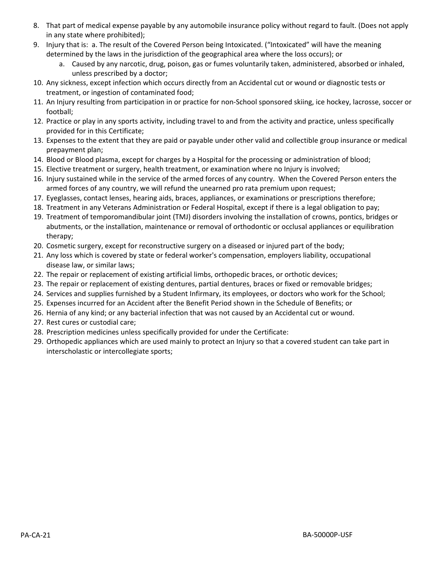- 8. That part of medical expense payable by any automobile insurance policy without regard to fault. (Does not apply in any state where prohibited);
- 9. Injury that is: a. The result of the Covered Person being Intoxicated. ("Intoxicated" will have the meaning determined by the laws in the jurisdiction of the geographical area where the loss occurs); or
	- a. Caused by any narcotic, drug, poison, gas or fumes voluntarily taken, administered, absorbed or inhaled, unless prescribed by a doctor;
- 10. Any sickness, except infection which occurs directly from an Accidental cut or wound or diagnostic tests or treatment, or ingestion of contaminated food;
- 11. An Injury resulting from participation in or practice for non‐School sponsored skiing, ice hockey, lacrosse, soccer or football;
- 12. Practice or play in any sports activity, including travel to and from the activity and practice, unless specifically provided for in this Certificate;
- 13. Expenses to the extent that they are paid or payable under other valid and collectible group insurance or medical prepayment plan;
- 14. Blood or Blood plasma, except for charges by a Hospital for the processing or administration of blood;
- 15. Elective treatment or surgery, health treatment, or examination where no Injury is involved;
- 16. Injury sustained while in the service of the armed forces of any country. When the Covered Person enters the armed forces of any country, we will refund the unearned pro rata premium upon request;
- 17. Eyeglasses, contact lenses, hearing aids, braces, appliances, or examinations or prescriptions therefore;
- 18. Treatment in any Veterans Administration or Federal Hospital, except if there is a legal obligation to pay;
- 19. Treatment of temporomandibular joint (TMJ) disorders involving the installation of crowns, pontics, bridges or abutments, or the installation, maintenance or removal of orthodontic or occlusal appliances or equilibration therapy;
- 20. Cosmetic surgery, except for reconstructive surgery on a diseased or injured part of the body;
- 21. Any loss which is covered by state or federal worker's compensation, employers liability, occupational disease law, or similar laws;
- 22. The repair or replacement of existing artificial limbs, orthopedic braces, or orthotic devices;
- 23. The repair or replacement of existing dentures, partial dentures, braces or fixed or removable bridges;
- 24. Services and supplies furnished by a Student Infirmary, its employees, or doctors who work for the School;
- 25. Expenses incurred for an Accident after the Benefit Period shown in the Schedule of Benefits; or
- 26. Hernia of any kind; or any bacterial infection that was not caused by an Accidental cut or wound.
- 27. Rest cures or custodial care;
- 28. Prescription medicines unless specifically provided for under the Certificate:
- 29. Orthopedic appliances which are used mainly to protect an Injury so that a covered student can take part in interscholastic or intercollegiate sports;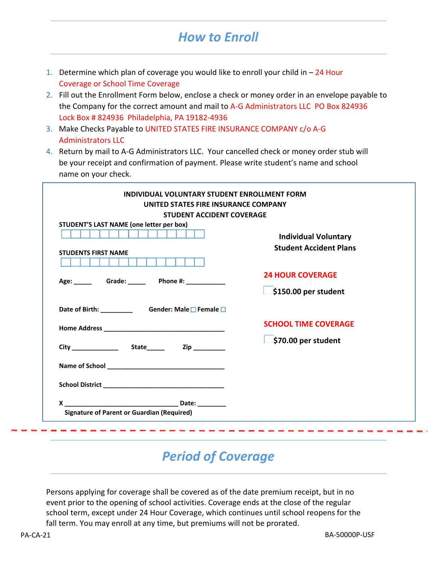## *How to Enroll*

- 1. Determine which plan of coverage you would like to enroll your child in  $-24$  Hour Coverage or School Time Coverage
- 2. Fill out the Enrollment Form below, enclose a check or money order in an envelope payable to the Company for the correct amount and mail to A-G Administrators LLC PO Box 824936 Lock Box # 824936 Philadelphia, PA 19182-4936
- 3. Make Checks Payable to UNITED STATES FIRE INSURANCE COMPANY c/o A‐G Administrators LLC
- 4. Return by mail to A‐G Administrators LLC. Your cancelled check or money order stub will be your receipt and confirmation of payment. Please write student's name and school name on your check.

| UNITED STATES FIRE INSURANCE COMPANY                                   |                                                              |
|------------------------------------------------------------------------|--------------------------------------------------------------|
| <b>STUDENT ACCIDENT COVERAGE</b>                                       |                                                              |
| STUDENT'S LAST NAME (one letter per box)<br><b>STUDENTS FIRST NAME</b> | <b>Individual Voluntary</b><br><b>Student Accident Plans</b> |
|                                                                        | <b>24 HOUR COVERAGE</b>                                      |
|                                                                        | \$150.00 per student                                         |
| Date of Birth: _________ Gender: Male OF Female O                      |                                                              |
|                                                                        | <b>SCHOOL TIME COVERAGE</b>                                  |
|                                                                        | \$70.00 per student                                          |
|                                                                        |                                                              |
|                                                                        |                                                              |
|                                                                        |                                                              |

## *Period of Coverage*

Persons applying for coverage shall be covered as of the date premium receipt, but in no event prior to the opening of school activities. Coverage ends at the close of the regular school term, except under 24 Hour Coverage, which continues until school reopens for the fall term. You may enroll at any time, but premiums will not be prorated.